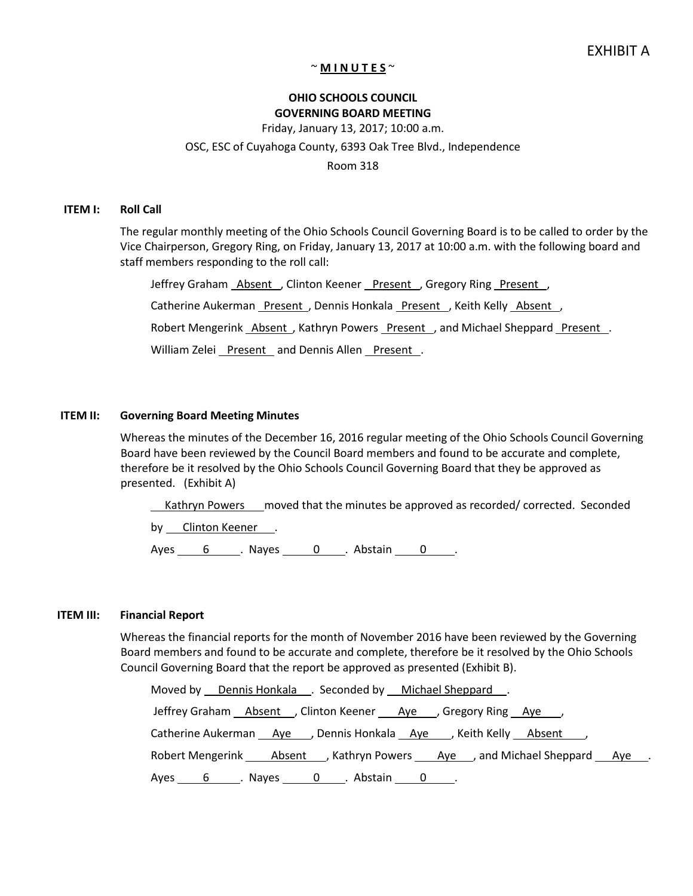## $~\sim$  **MINUTES** $~\sim$

# **OHIO SCHOOLS COUNCIL GOVERNING BOARD MEETING**

Friday, January 13, 2017; 10:00 a.m.

### OSC, ESC of Cuyahoga County, 6393 Oak Tree Blvd., Independence

### Room 318

#### **ITEM I: Roll Call**

The regular monthly meeting of the Ohio Schools Council Governing Board is to be called to order by the Vice Chairperson, Gregory Ring, on Friday, January 13, 2017 at 10:00 a.m. with the following board and staff members responding to the roll call:

Jeffrey Graham Absent , Clinton Keener Present , Gregory Ring Present ,

Catherine Aukerman Present , Dennis Honkala Present , Keith Kelly Absent ,

Robert Mengerink Absent, Kathryn Powers Present, and Michael Sheppard Present.

William Zelei Present and Dennis Allen Present .

### **ITEM II: Governing Board Meeting Minutes**

Whereas the minutes of the December 16, 2016 regular meeting of the Ohio Schools Council Governing Board have been reviewed by the Council Board members and found to be accurate and complete, therefore be it resolved by the Ohio Schools Council Governing Board that they be approved as presented. (Exhibit A)

Kathryn Powers moved that the minutes be approved as recorded/ corrected. Seconded

by Clinton Keener.

Ayes 6 . Nayes 0 . Abstain 0 .

#### **ITEM III: Financial Report**

Whereas the financial reports for the month of November 2016 have been reviewed by the Governing Board members and found to be accurate and complete, therefore be it resolved by the Ohio Schools Council Governing Board that the report be approved as presented (Exhibit B).

Moved by Dennis Honkala . Seconded by Michael Sheppard . Jeffrey Graham Absent , Clinton Keener Aye , Gregory Ring Aye , Catherine Aukerman Aye , Dennis Honkala Aye , Keith Kelly Absent Robert Mengerink \_\_\_\_\_ Absent \_\_\_\_, Kathryn Powers \_\_\_\_\_ Aye \_\_\_, and Michael Sheppard \_\_\_\_ Aye \_\_\_. Ayes 6 . Nayes 0 . Abstain 0 .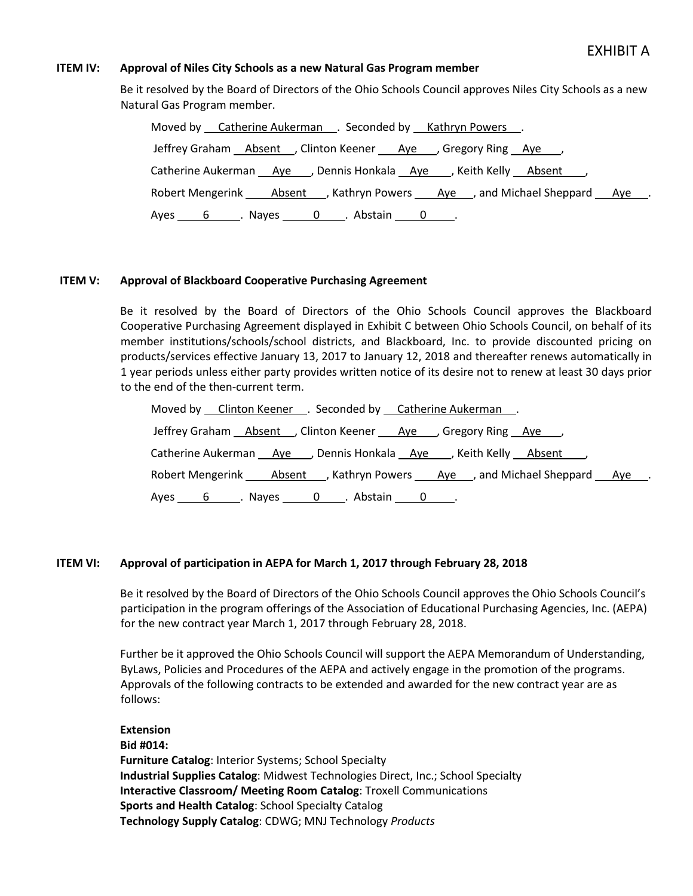## **ITEM IV: Approval of Niles City Schools as a new Natural Gas Program member**

Be it resolved by the Board of Directors of the Ohio Schools Council approves Niles City Schools as a new Natural Gas Program member.

| Moved by Catherine Aukerman . Seconded by Kathryn Powers .                                          |
|-----------------------------------------------------------------------------------------------------|
| Jeffrey Graham Absent , Clinton Keener Aye , Gregory Ring Aye ,                                     |
| Catherine Aukerman Aye, Dennis Honkala Aye, Keith Kelly Absent,                                     |
| Robert Mengerink _____Absent ____, Kathryn Powers ______Aye ___, and Michael Sheppard _____Aye ___. |
| Ayes 6 Nayes 0 Abstain 0.                                                                           |

## **ITEM V: Approval of Blackboard Cooperative Purchasing Agreement**

Be it resolved by the Board of Directors of the Ohio Schools Council approves the Blackboard Cooperative Purchasing Agreement displayed in Exhibit C between Ohio Schools Council, on behalf of its member institutions/schools/school districts, and Blackboard, Inc. to provide discounted pricing on products/services effective January 13, 2017 to January 12, 2018 and thereafter renews automatically in 1 year periods unless either party provides written notice of its desire not to renew at least 30 days prior to the end of the then-current term.

| Moved by Clinton Keener Fig. Seconded by Catherine Aukerman Fig.                                      |
|-------------------------------------------------------------------------------------------------------|
| Jeffrey Graham __ Absent __ , Clinton Keener ____ Aye ___ , Gregory Ring ___ Aye __ ,                 |
| Catherine Aukerman Aye , Dennis Honkala Aye , Keith Kelly Absent,                                     |
| Robert Mengerink _____Absent _____, Kathryn Powers _______Aye ___, and Michael Sheppard _____Aye ___. |
| Ayes 6 Nayes 0 Abstain 0 N                                                                            |

# **ITEM VI: Approval of participation in AEPA for March 1, 2017 through February 28, 2018**

Be it resolved by the Board of Directors of the Ohio Schools Council approves the Ohio Schools Council's participation in the program offerings of the Association of Educational Purchasing Agencies, Inc. (AEPA) for the new contract year March 1, 2017 through February 28, 2018.

Further be it approved the Ohio Schools Council will support the AEPA Memorandum of Understanding, ByLaws, Policies and Procedures of the AEPA and actively engage in the promotion of the programs. Approvals of the following contracts to be extended and awarded for the new contract year are as follows:

**Extension Bid #014: Furniture Catalog**: Interior Systems; School Specialty **Industrial Supplies Catalog**: Midwest Technologies Direct, Inc.; School Specialty **Interactive Classroom/ Meeting Room Catalog**: Troxell Communications **Sports and Health Catalog**: School Specialty Catalog **Technology Supply Catalog**: CDWG; MNJ Technology *Products*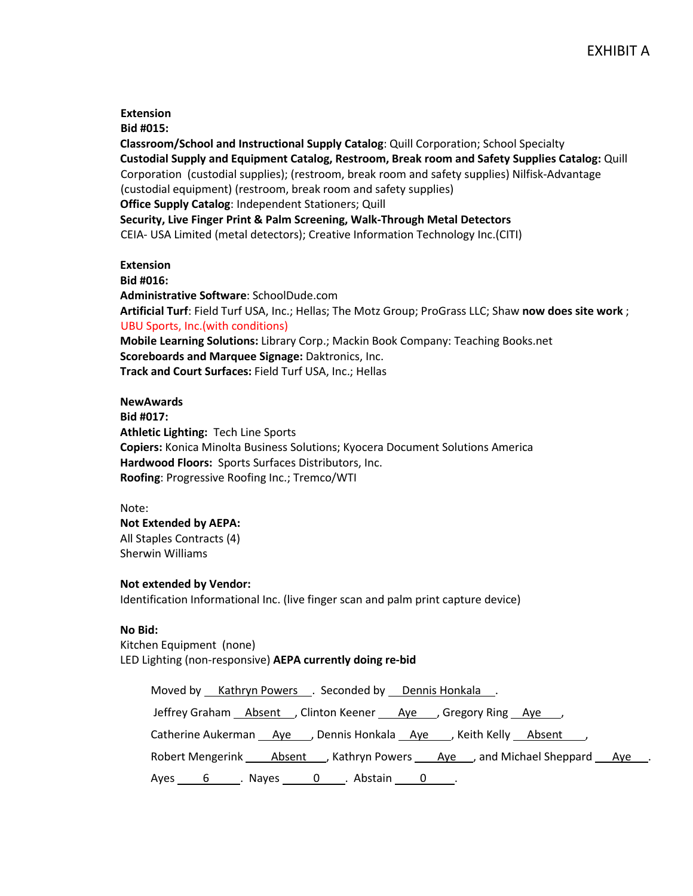# **Extension**

## **Bid #015:**

**Classroom/School and Instructional Supply Catalog**: Quill Corporation; School Specialty **Custodial Supply and Equipment Catalog, Restroom, Break room and Safety Supplies Catalog:** Quill Corporation (custodial supplies); (restroom, break room and safety supplies) Nilfisk-Advantage (custodial equipment) (restroom, break room and safety supplies)

**Office Supply Catalog**: Independent Stationers; Quill

**Security, Live Finger Print & Palm Screening, Walk-Through Metal Detectors** 

CEIA- USA Limited (metal detectors); Creative Information Technology Inc.(CITI)

# **Extension**

**Bid #016:**

**Administrative Software**: SchoolDude.com

**Artificial Turf**: Field Turf USA, Inc.; Hellas; The Motz Group; ProGrass LLC; Shaw **now does site work** ; UBU Sports, Inc.(with conditions)

**Mobile Learning Solutions:** Library Corp.; Mackin Book Company: Teaching Books.net **Scoreboards and Marquee Signage:** Daktronics, Inc. **Track and Court Surfaces:** Field Turf USA, Inc.; Hellas

# **NewAwards**

**Bid #017: Athletic Lighting:** Tech Line Sports **Copiers:** Konica Minolta Business Solutions; Kyocera Document Solutions America **Hardwood Floors:** Sports Surfaces Distributors, Inc. **Roofing**: Progressive Roofing Inc.; Tremco/WTI

# Note:

**Not Extended by AEPA:** All Staples Contracts (4) Sherwin Williams

# **Not extended by Vendor:**

Identification Informational Inc. (live finger scan and palm print capture device)

# **No Bid:**

Kitchen Equipment (none) LED Lighting (non-responsive) **AEPA currently doing re-bid**

Moved by Kathryn Powers . Seconded by Dennis Honkala . Jeffrey Graham Absent , Clinton Keener Aye , Gregory Ring Aye , Catherine Aukerman Aye , Dennis Honkala Aye , Keith Kelly Absent , Robert Mengerink \_\_\_\_\_ Absent \_\_\_\_, Kathryn Powers \_\_\_\_\_ Aye \_\_\_, and Michael Sheppard \_\_\_\_ Aye \_\_\_. Ayes 6 . Nayes 0 . Abstain 0 .